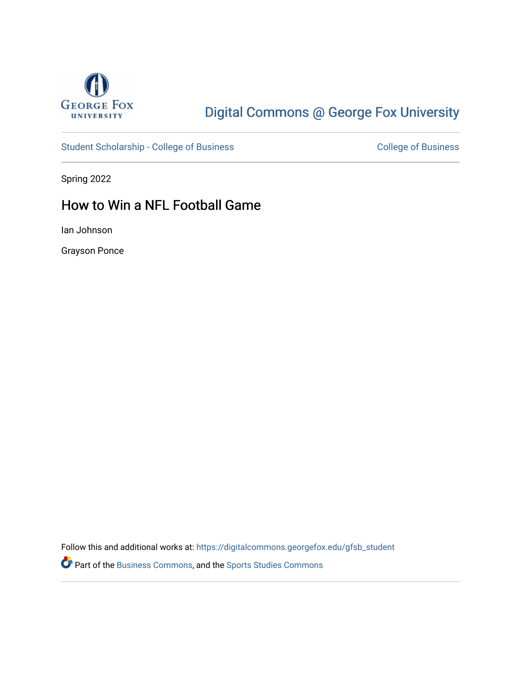

# [Digital Commons @ George Fox University](https://digitalcommons.georgefox.edu/)

[Student Scholarship - College of Business](https://digitalcommons.georgefox.edu/gfsb_student) [College of Business](https://digitalcommons.georgefox.edu/business) College of Business

Spring 2022

### How to Win a NFL Football Game

Ian Johnson

Grayson Ponce

Follow this and additional works at: [https://digitalcommons.georgefox.edu/gfsb\\_student](https://digitalcommons.georgefox.edu/gfsb_student?utm_source=digitalcommons.georgefox.edu%2Fgfsb_student%2F22&utm_medium=PDF&utm_campaign=PDFCoverPages) 

Part of the [Business Commons](https://network.bepress.com/hgg/discipline/622?utm_source=digitalcommons.georgefox.edu%2Fgfsb_student%2F22&utm_medium=PDF&utm_campaign=PDFCoverPages), and the [Sports Studies Commons](https://network.bepress.com/hgg/discipline/1198?utm_source=digitalcommons.georgefox.edu%2Fgfsb_student%2F22&utm_medium=PDF&utm_campaign=PDFCoverPages)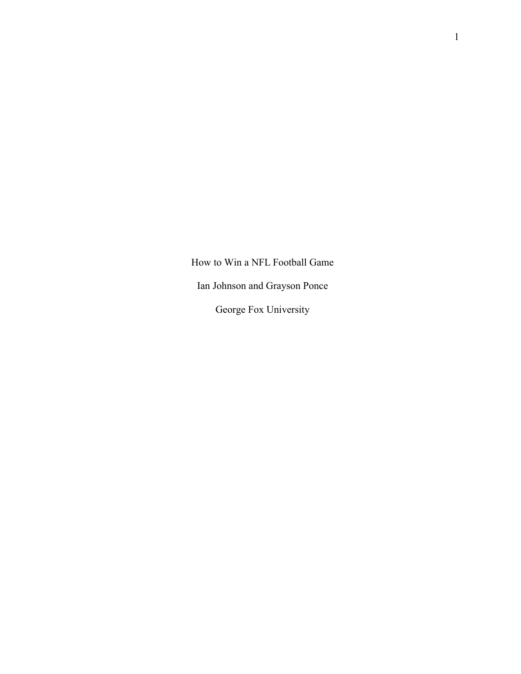How to Win a NFL Football Game Ian Johnson and Grayson Ponce George Fox University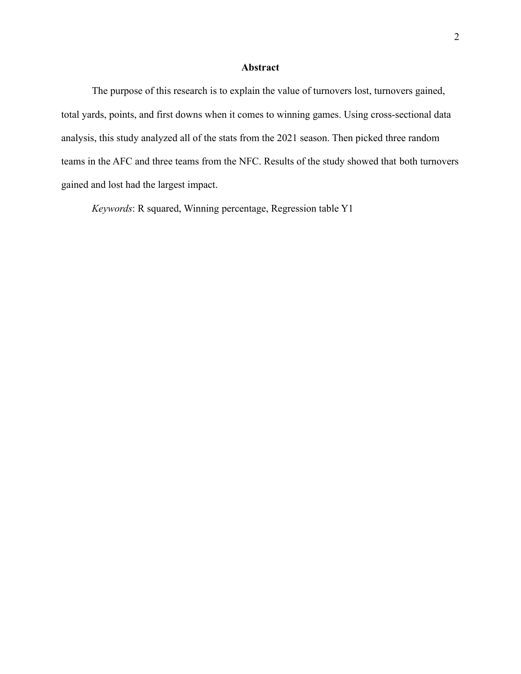### **Abstract**

The purpose of this research is to explain the value of turnovers lost, turnovers gained, total yards, points, and first downs when it comes to winning games. Using cross-sectional data analysis, this study analyzed all of the stats from the 2021 season. Then picked three random teams in the AFC and three teams from the NFC. Results of the study showed that both turnovers gained and lost had the largest impact.

*Keywords*: R squared, Winning percentage, Regression table Y1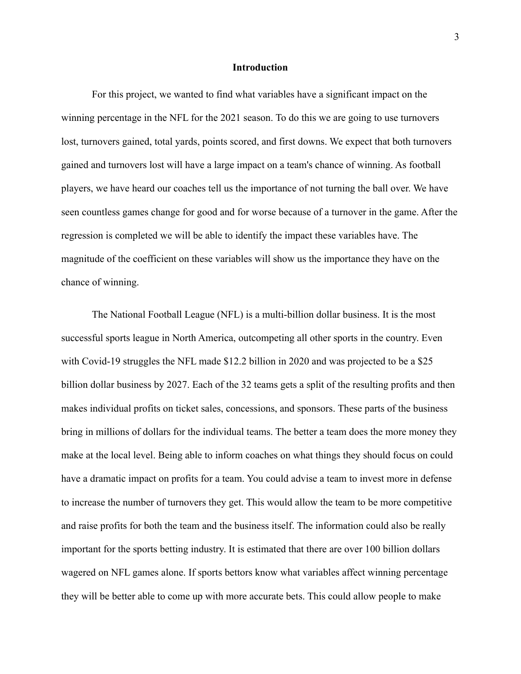#### **Introduction**

For this project, we wanted to find what variables have a significant impact on the winning percentage in the NFL for the 2021 season. To do this we are going to use turnovers lost, turnovers gained, total yards, points scored, and first downs. We expect that both turnovers gained and turnovers lost will have a large impact on a team's chance of winning. As football players, we have heard our coaches tell us the importance of not turning the ball over. We have seen countless games change for good and for worse because of a turnover in the game. After the regression is completed we will be able to identify the impact these variables have. The magnitude of the coefficient on these variables will show us the importance they have on the chance of winning.

The National Football League (NFL) is a multi-billion dollar business. It is the most successful sports league in North America, outcompeting all other sports in the country. Even with Covid-19 struggles the NFL made \$12.2 billion in 2020 and was projected to be a \$25 billion dollar business by 2027. Each of the 32 teams gets a split of the resulting profits and then makes individual profits on ticket sales, concessions, and sponsors. These parts of the business bring in millions of dollars for the individual teams. The better a team does the more money they make at the local level. Being able to inform coaches on what things they should focus on could have a dramatic impact on profits for a team. You could advise a team to invest more in defense to increase the number of turnovers they get. This would allow the team to be more competitive and raise profits for both the team and the business itself. The information could also be really important for the sports betting industry. It is estimated that there are over 100 billion dollars wagered on NFL games alone. If sports bettors know what variables affect winning percentage they will be better able to come up with more accurate bets. This could allow people to make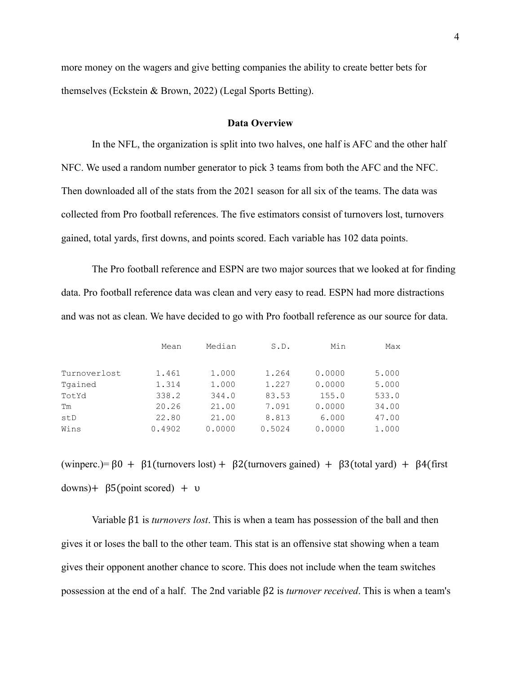more money on the wagers and give betting companies the ability to create better bets for themselves (Eckstein & Brown, 2022) (Legal Sports Betting).

#### **Data Overview**

In the NFL, the organization is split into two halves, one half is AFC and the other half NFC. We used a random number generator to pick 3 teams from both the AFC and the NFC. Then downloaded all of the stats from the 2021 season for all six of the teams. The data was collected from Pro football references. The five estimators consist of turnovers lost, turnovers gained, total yards, first downs, and points scored. Each variable has 102 data points.

The Pro football reference and ESPN are two major sources that we looked at for finding data. Pro football reference data was clean and very easy to read. ESPN had more distractions and was not as clean. We have decided to go with Pro football reference as our source for data.

|              | Mean   | Median | S.D.   | Min    | Max   |
|--------------|--------|--------|--------|--------|-------|
|              |        |        |        |        |       |
| Turnoverlost | 1.461  | 1,000  | 1.264  | 0.0000 | 5.000 |
| Tgained      | 1.314  | 1,000  | 1.227  | 0.0000 | 5.000 |
| TotYd        | 338.2  | 344.0  | 83.53  | 155.0  | 533.0 |
| Тm           | 20.26  | 21.00  | 7.091  | 0.0000 | 34.00 |
| stD          | 22.80  | 21.00  | 8.813  | 6.000  | 47.00 |
| Wins         | 0.4902 | 0.0000 | 0.5024 | 0.0000 | 1.000 |

(winperc.)=  $\beta$ 0 +  $\beta$ 1(turnovers lost) +  $\beta$ 2(turnovers gained) +  $\beta$ 3(total yard) +  $\beta$ 4(first  $downs$  + β5(point scored) + υ

Variable β1 is *turnovers lost*. This is when a team has possession of the ball and then gives it or loses the ball to the other team. This stat is an offensive stat showing when a team gives their opponent another chance to score. This does not include when the team switches possession at the end of a half. The 2nd variable β2 is *turnover received*. This is when a team's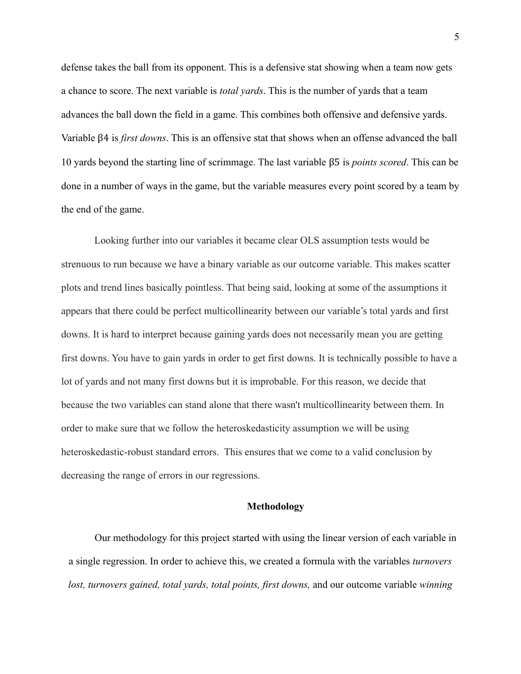defense takes the ball from its opponent. This is a defensive stat showing when a team now gets a chance to score. The next variable is *total yards*. This is the number of yards that a team advances the ball down the field in a game. This combines both offensive and defensive yards. Variable β4 is *first downs*. This is an offensive stat that shows when an offense advanced the ball 10 yards beyond the starting line of scrimmage. The last variable β5 is *points scored*. This can be done in a number of ways in the game, but the variable measures every point scored by a team by the end of the game.

Looking further into our variables it became clear OLS assumption tests would be strenuous to run because we have a binary variable as our outcome variable. This makes scatter plots and trend lines basically pointless. That being said, looking at some of the assumptions it appears that there could be perfect multicollinearity between our variable's total yards and first downs. It is hard to interpret because gaining yards does not necessarily mean you are getting first downs. You have to gain yards in order to get first downs. It is technically possible to have a lot of yards and not many first downs but it is improbable. For this reason, we decide that because the two variables can stand alone that there wasn't multicollinearity between them. In order to make sure that we follow the heteroskedasticity assumption we will be using heteroskedastic-robust standard errors. This ensures that we come to a valid conclusion by decreasing the range of errors in our regressions.

#### **Methodology**

Our methodology for this project started with using the linear version of each variable in a single regression. In order to achieve this, we created a formula with the variables *turnovers lost, turnovers gained, total yards, total points, first downs,* and our outcome variable *winning*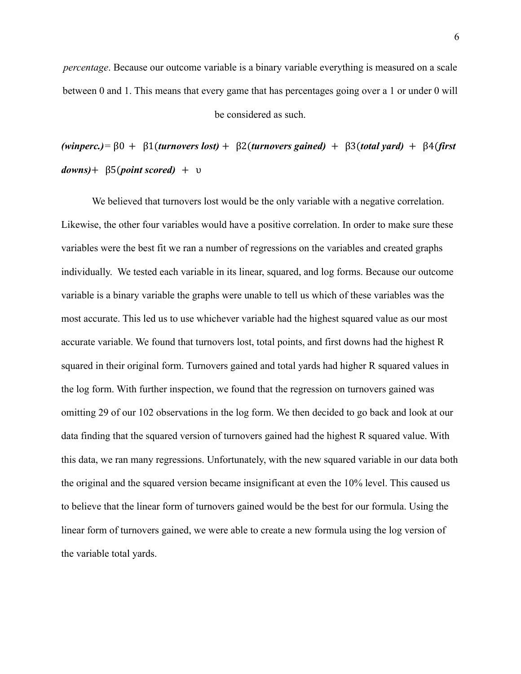*percentage*. Because our outcome variable is a binary variable everything is measured on a scale between 0 and 1. This means that every game that has percentages going over a 1 or under 0 will

be considered as such.

*(winperc.)=* β0 + β1(*turnovers lost)* + β2(*turnovers gained)* + β3(*total yard)* + β4(*first downs)*+ β5(*point scored)* + υ

We believed that turnovers lost would be the only variable with a negative correlation. Likewise, the other four variables would have a positive correlation. In order to make sure these variables were the best fit we ran a number of regressions on the variables and created graphs individually. We tested each variable in its linear, squared, and log forms. Because our outcome variable is a binary variable the graphs were unable to tell us which of these variables was the most accurate. This led us to use whichever variable had the highest squared value as our most accurate variable. We found that turnovers lost, total points, and first downs had the highest R squared in their original form. Turnovers gained and total yards had higher R squared values in the log form. With further inspection, we found that the regression on turnovers gained was omitting 29 of our 102 observations in the log form. We then decided to go back and look at our data finding that the squared version of turnovers gained had the highest R squared value. With this data, we ran many regressions. Unfortunately, with the new squared variable in our data both the original and the squared version became insignificant at even the 10% level. This caused us to believe that the linear form of turnovers gained would be the best for our formula. Using the linear form of turnovers gained, we were able to create a new formula using the log version of the variable total yards.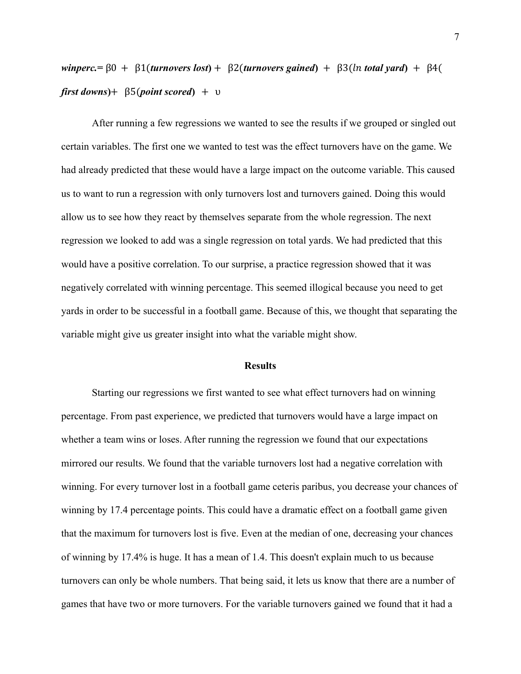$\n *winperc* =  $\beta 0 + \beta 1$ (*turnovers lost*) +  $\beta 2$ (*turnovers gained*) +  $\beta 3$ (*ln total yard*) +  $\beta 4$ ($  $first\ downs$ <sup>+</sup>  $\beta$ 5(*point scored*) + υ

After running a few regressions we wanted to see the results if we grouped or singled out certain variables. The first one we wanted to test was the effect turnovers have on the game. We had already predicted that these would have a large impact on the outcome variable. This caused us to want to run a regression with only turnovers lost and turnovers gained. Doing this would allow us to see how they react by themselves separate from the whole regression. The next regression we looked to add was a single regression on total yards. We had predicted that this would have a positive correlation. To our surprise, a practice regression showed that it was negatively correlated with winning percentage. This seemed illogical because you need to get yards in order to be successful in a football game. Because of this, we thought that separating the variable might give us greater insight into what the variable might show.

#### **Results**

Starting our regressions we first wanted to see what effect turnovers had on winning percentage. From past experience, we predicted that turnovers would have a large impact on whether a team wins or loses. After running the regression we found that our expectations mirrored our results. We found that the variable turnovers lost had a negative correlation with winning. For every turnover lost in a football game ceteris paribus, you decrease your chances of winning by 17.4 percentage points. This could have a dramatic effect on a football game given that the maximum for turnovers lost is five. Even at the median of one, decreasing your chances of winning by 17.4% is huge. It has a mean of 1.4. This doesn't explain much to us because turnovers can only be whole numbers. That being said, it lets us know that there are a number of games that have two or more turnovers. For the variable turnovers gained we found that it had a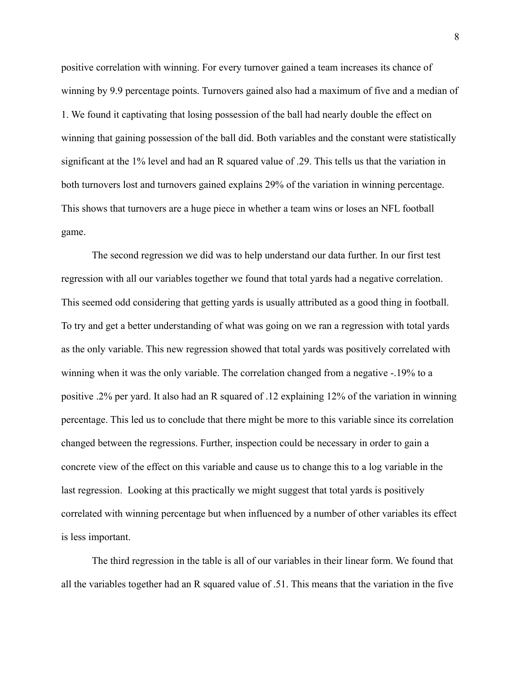positive correlation with winning. For every turnover gained a team increases its chance of winning by 9.9 percentage points. Turnovers gained also had a maximum of five and a median of 1. We found it captivating that losing possession of the ball had nearly double the effect on winning that gaining possession of the ball did. Both variables and the constant were statistically significant at the 1% level and had an R squared value of .29. This tells us that the variation in both turnovers lost and turnovers gained explains 29% of the variation in winning percentage. This shows that turnovers are a huge piece in whether a team wins or loses an NFL football game.

The second regression we did was to help understand our data further. In our first test regression with all our variables together we found that total yards had a negative correlation. This seemed odd considering that getting yards is usually attributed as a good thing in football. To try and get a better understanding of what was going on we ran a regression with total yards as the only variable. This new regression showed that total yards was positively correlated with winning when it was the only variable. The correlation changed from a negative -.19% to a positive .2% per yard. It also had an R squared of .12 explaining 12% of the variation in winning percentage. This led us to conclude that there might be more to this variable since its correlation changed between the regressions. Further, inspection could be necessary in order to gain a concrete view of the effect on this variable and cause us to change this to a log variable in the last regression. Looking at this practically we might suggest that total yards is positively correlated with winning percentage but when influenced by a number of other variables its effect is less important.

The third regression in the table is all of our variables in their linear form. We found that all the variables together had an R squared value of .51. This means that the variation in the five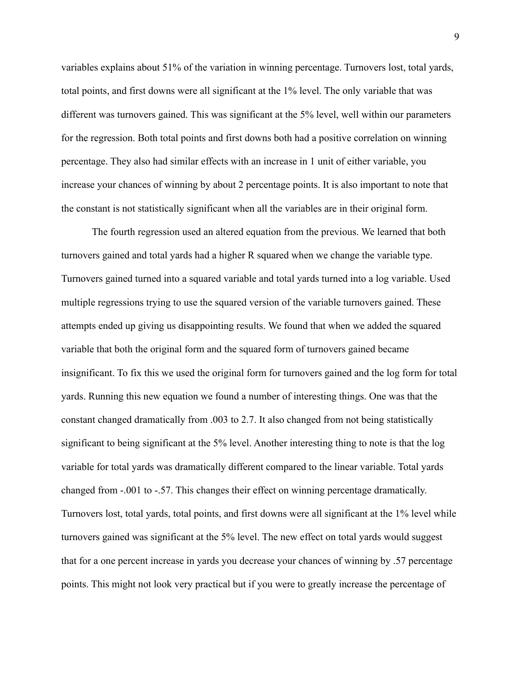variables explains about 51% of the variation in winning percentage. Turnovers lost, total yards, total points, and first downs were all significant at the 1% level. The only variable that was different was turnovers gained. This was significant at the 5% level, well within our parameters for the regression. Both total points and first downs both had a positive correlation on winning percentage. They also had similar effects with an increase in 1 unit of either variable, you increase your chances of winning by about 2 percentage points. It is also important to note that the constant is not statistically significant when all the variables are in their original form.

The fourth regression used an altered equation from the previous. We learned that both turnovers gained and total yards had a higher R squared when we change the variable type. Turnovers gained turned into a squared variable and total yards turned into a log variable. Used multiple regressions trying to use the squared version of the variable turnovers gained. These attempts ended up giving us disappointing results. We found that when we added the squared variable that both the original form and the squared form of turnovers gained became insignificant. To fix this we used the original form for turnovers gained and the log form for total yards. Running this new equation we found a number of interesting things. One was that the constant changed dramatically from .003 to 2.7. It also changed from not being statistically significant to being significant at the 5% level. Another interesting thing to note is that the log variable for total yards was dramatically different compared to the linear variable. Total yards changed from -.001 to -.57. This changes their effect on winning percentage dramatically. Turnovers lost, total yards, total points, and first downs were all significant at the 1% level while turnovers gained was significant at the 5% level. The new effect on total yards would suggest that for a one percent increase in yards you decrease your chances of winning by .57 percentage points. This might not look very practical but if you were to greatly increase the percentage of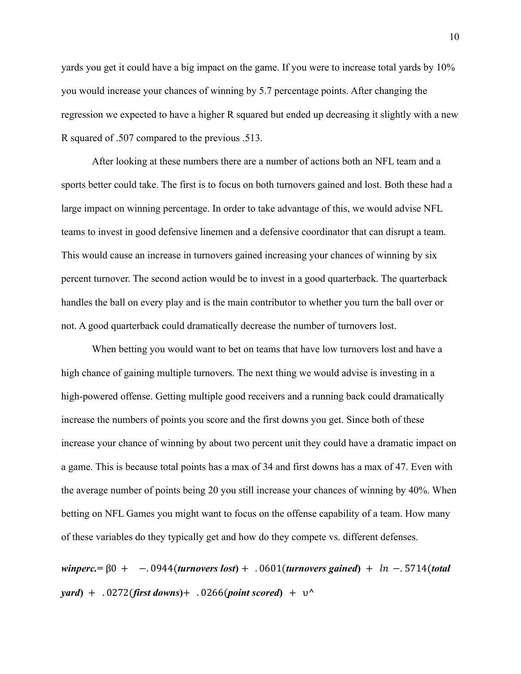yards you get it could have a big impact on the game. If you were to increase total yards by 10% you would increase your chances of winning by 5.7 percentage points. After changing the regression we expected to have a higher R squared but ended up decreasing it slightly with a new R squared of .507 compared to the previous .513.

After looking at these numbers there are a number of actions both an NFL team and a sports better could take. The first is to focus on both turnovers gained and lost. Both these had a large impact on winning percentage. In order to take advantage of this, we would advise NFL teams to invest in good defensive linemen and a defensive coordinator that can disrupt a team. This would cause an increase in turnovers gained increasing your chances of winning by six percent turnover. The second action would be to invest in a good quarterback. The quarterback handles the ball on every play and is the main contributor to whether you turn the ball over or not. A good quarterback could dramatically decrease the number of turnovers lost.

When betting you would want to bet on teams that have low turnovers lost and have a high chance of gaining multiple turnovers. The next thing we would advise is investing in a high-powered offense. Getting multiple good receivers and a running back could dramatically increase the numbers of points you score and the first downs you get. Since both of these increase your chance of winning by about two percent unit they could have a dramatic impact on a game. This is because total points has a max of 34 and first downs has a max of 47. Even with the average number of points being 20 you still increase your chances of winning by 40%. When betting on NFL Games you might want to focus on the offense capability of a team. How many of these variables do they typically get and how do they compete vs. different defenses.

*winperc.***=** β0 + −. 0944(*turnovers lost***)** + . 0601(*turnovers gained***)** + −. 5714(*total yard***)** + . 0272(*first downs***)**+ . 0266(*point scored***)** + υ**^**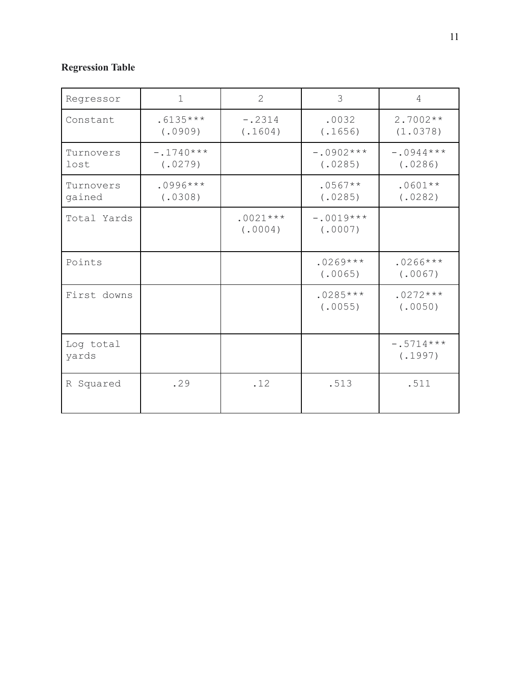## **Regression Table**

| Regressor           | 1                      | $\overline{2}$        | 3                      | 4                      |
|---------------------|------------------------|-----------------------|------------------------|------------------------|
| Constant            | $.6135***$<br>(.0909)  | $-.2314$<br>(.1604)   | .0032<br>(.1656)       | $2.7002**$<br>(1.0378) |
| Turnovers<br>lost   | $-.1740***$<br>(.0279) |                       | $-.0902***$<br>(.0285) | $-.0944***$<br>(.0286) |
| Turnovers<br>gained | $.0996***$<br>(.0308)  |                       | $.0567**$<br>(.0285)   | $.0601**$<br>(.0282)   |
| Total Yards         |                        | $.0021***$<br>(.0004) | $-.0019***$<br>(.0007) |                        |
| Points              |                        |                       | $.0269***$<br>(.0065)  | $.0266***$<br>(.0067)  |
| First downs         |                        |                       | $.0285***$<br>(.0055)  | $.0272***$<br>(.0050)  |
| Log total<br>yards  |                        |                       |                        | $-.5714***$<br>(.1997) |
| R Squared           | .29                    | .12                   | .513                   | .511                   |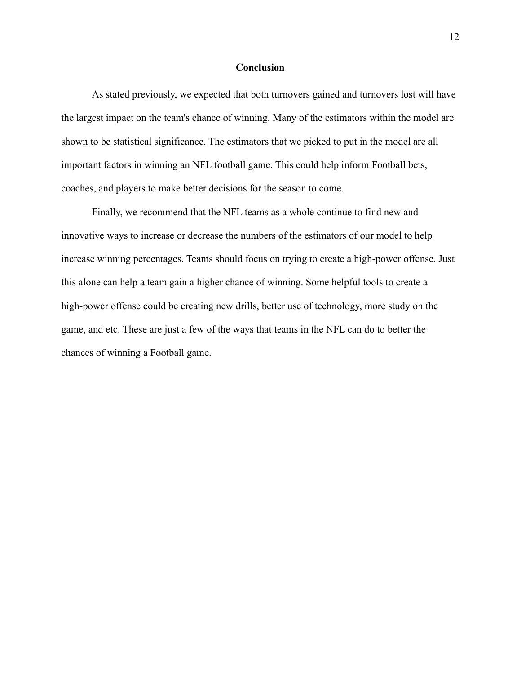#### **Conclusion**

As stated previously, we expected that both turnovers gained and turnovers lost will have the largest impact on the team's chance of winning. Many of the estimators within the model are shown to be statistical significance. The estimators that we picked to put in the model are all important factors in winning an NFL football game. This could help inform Football bets, coaches, and players to make better decisions for the season to come.

Finally, we recommend that the NFL teams as a whole continue to find new and innovative ways to increase or decrease the numbers of the estimators of our model to help increase winning percentages. Teams should focus on trying to create a high-power offense. Just this alone can help a team gain a higher chance of winning. Some helpful tools to create a high-power offense could be creating new drills, better use of technology, more study on the game, and etc. These are just a few of the ways that teams in the NFL can do to better the chances of winning a Football game.